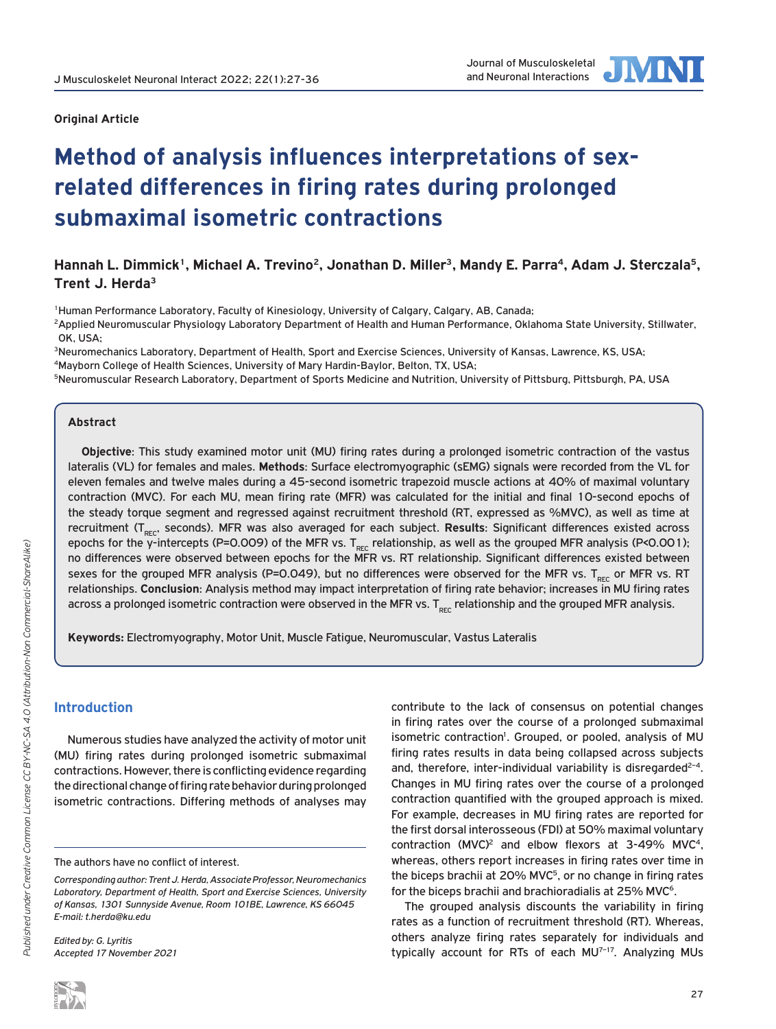

## **Original Article**

# **Method of analysis influences interpretations of sexrelated differences in firing rates during prolonged submaximal isometric contractions**

# Hannah L. Dimmick<sup>1</sup>, Michael A. Trevino<sup>2</sup>, Jonathan D. Miller<sup>3</sup>, Mandy E. Parra<sup>4</sup>, Adam J. Sterczala<sup>5</sup>, **Trent J. Herda3**

1Human Performance Laboratory, Faculty of Kinesiology, University of Calgary, Calgary, AB, Canada;

2Applied Neuromuscular Physiology Laboratory Department of Health and Human Performance, Oklahoma State University, Stillwater, OK, USA;

<sup>3</sup>Neuromechanics Laboratory, Department of Health, Sport and Exercise Sciences, University of Kansas, Lawrence, KS, USA; 4Mayborn College of Health Sciences, University of Mary Hardin-Baylor, Belton, TX, USA;

5Neuromuscular Research Laboratory, Department of Sports Medicine and Nutrition, University of Pittsburg, Pittsburgh, PA, USA

## **Abstract**

**Objective**: This study examined motor unit (MU) firing rates during a prolonged isometric contraction of the vastus lateralis (VL) for females and males. **Methods**: Surface electromyographic (sEMG) signals were recorded from the VL for eleven females and twelve males during a 45-second isometric trapezoid muscle actions at 40% of maximal voluntary contraction (MVC). For each MU, mean firing rate (MFR) was calculated for the initial and final 10-second epochs of the steady torque segment and regressed against recruitment threshold (RT, expressed as %MVC), as well as time at recruitment (T<sub>REC</sub>, seconds). MFR was also averaged for each subject. Results: Significant differences existed across epochs for the y-intercepts (P=0.009) of the MFR vs.  $T_{\text{rec}}$  relationship, as well as the grouped MFR analysis (P<0.001); no differences were observed between epochs for the MFR vs. RT relationship. Significant differences existed between sexes for the grouped MFR analysis (P=0.049), but no differences were observed for the MFR vs. T<sub>REC</sub> or MFR vs. RT relationships. **Conclusion**: Analysis method may impact interpretation of firing rate behavior; increases in MU firing rates across a prolonged isometric contraction were observed in the MFR vs.  $T_{rec}$  relationship and the grouped MFR analysis.

**Keywords:** Electromyography, Motor Unit, Muscle Fatigue, Neuromuscular, Vastus Lateralis

# **Introduction**

Numerous studies have analyzed the activity of motor unit (MU) firing rates during prolonged isometric submaximal contractions. However, there is conflicting evidence regarding the directional change of firing rate behavior during prolonged isometric contractions. Differing methods of analyses may

*Edited by: G. Lyritis Accepted 17 November 2021* contribute to the lack of consensus on potential changes in firing rates over the course of a prolonged submaximal isometric contraction<sup>1</sup>. Grouped, or pooled, analysis of MU firing rates results in data being collapsed across subjects and, therefore, inter-individual variability is disregarded<sup> $2-4$ </sup>. Changes in MU firing rates over the course of a prolonged contraction quantified with the grouped approach is mixed. For example, decreases in MU firing rates are reported for the first dorsal interosseous (FDI) at 50% maximal voluntary contraction (MVC)<sup>2</sup> and elbow flexors at 3-49% MVC<sup>4</sup>, whereas, others report increases in firing rates over time in the biceps brachii at 20% MVC<sup>5</sup>, or no change in firing rates for the biceps brachii and brachioradialis at 25% MVC<sup>6</sup>.

The grouped analysis discounts the variability in firing rates as a function of recruitment threshold (RT). Whereas, others analyze firing rates separately for individuals and typically account for RTs of each MU<sup>7-17</sup>. Analyzing MUs

The authors have no conflict of interest.

*Corresponding author: Trent J. Herda, Associate Professor, Neuromechanics Laboratory, Department of Health, Sport and Exercise Sciences, University of Kansas, 1301 Sunnyside Avenue, Room 101BE, Lawrence, KS 66045 E-mail: t.herda@ku.edu*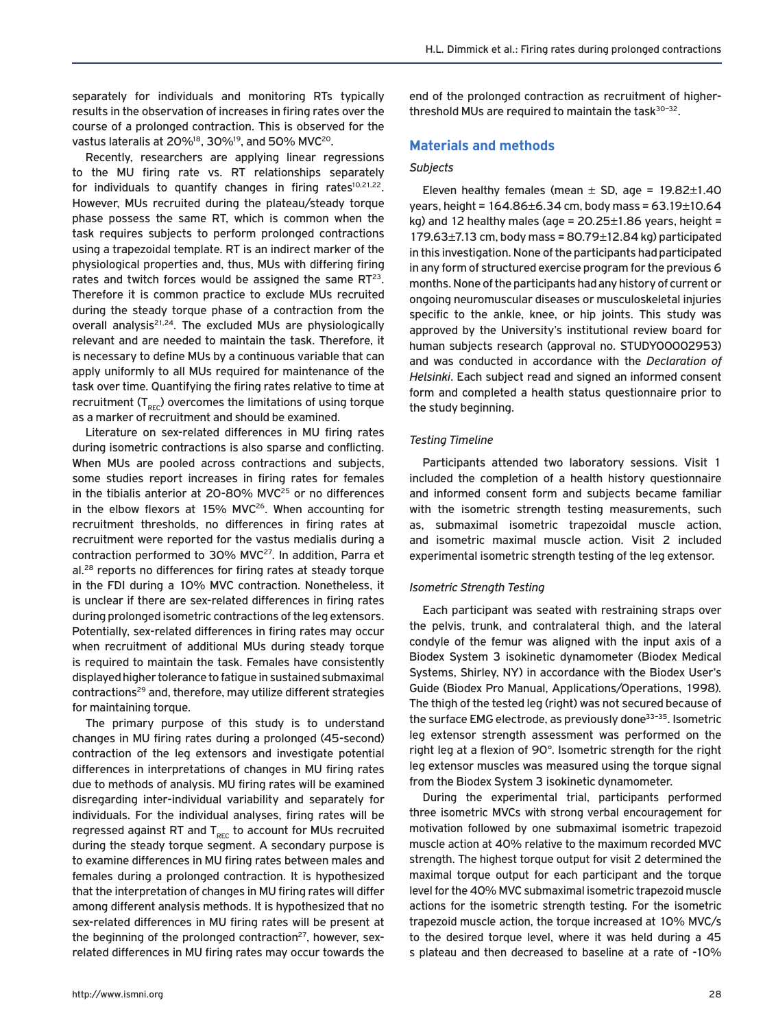separately for individuals and monitoring RTs typically results in the observation of increases in firing rates over the course of a prolonged contraction. This is observed for the vastus lateralis at 20%<sup>18</sup>, 30%<sup>19</sup>, and 50% MVC<sup>20</sup>.

Recently, researchers are applying linear regressions to the MU firing rate vs. RT relationships separately for individuals to quantify changes in firing rates $10,21,22$ . However, MUs recruited during the plateau/steady torque phase possess the same RT, which is common when the task requires subjects to perform prolonged contractions using a trapezoidal template. RT is an indirect marker of the physiological properties and, thus, MUs with differing firing rates and twitch forces would be assigned the same  $RT^{23}$ . Therefore it is common practice to exclude MUs recruited during the steady torque phase of a contraction from the overall analysis<sup>21,24</sup>. The excluded MUs are physiologically relevant and are needed to maintain the task. Therefore, it is necessary to define MUs by a continuous variable that can apply uniformly to all MUs required for maintenance of the task over time. Quantifying the firing rates relative to time at recruitment  $(T_{\text{per}})$  overcomes the limitations of using torque as a marker of recruitment and should be examined.

Literature on sex-related differences in MU firing rates during isometric contractions is also sparse and conflicting. When MUs are pooled across contractions and subjects, some studies report increases in firing rates for females in the tibialis anterior at 20-80% MVC $^{25}$  or no differences in the elbow flexors at 15% MVC<sup>26</sup>. When accounting for recruitment thresholds, no differences in firing rates at recruitment were reported for the vastus medialis during a contraction performed to 30% MVC<sup>27</sup>. In addition, Parra et al.<sup>28</sup> reports no differences for firing rates at steady torque in the FDI during a 10% MVC contraction. Nonetheless, it is unclear if there are sex-related differences in firing rates during prolonged isometric contractions of the leg extensors. Potentially, sex-related differences in firing rates may occur when recruitment of additional MUs during steady torque is required to maintain the task. Females have consistently displayed higher tolerance to fatigue in sustained submaximal contractions<sup>29</sup> and, therefore, may utilize different strategies for maintaining torque.

The primary purpose of this study is to understand changes in MU firing rates during a prolonged (45-second) contraction of the leg extensors and investigate potential differences in interpretations of changes in MU firing rates due to methods of analysis. MU firing rates will be examined disregarding inter-individual variability and separately for individuals. For the individual analyses, firing rates will be regressed against RT and  $T_{rec}$  to account for MUs recruited during the steady torque segment. A secondary purpose is to examine differences in MU firing rates between males and females during a prolonged contraction. It is hypothesized that the interpretation of changes in MU firing rates will differ among different analysis methods. It is hypothesized that no sex-related differences in MU firing rates will be present at the beginning of the prolonged contraction $27$ , however, sexrelated differences in MU firing rates may occur towards the end of the prolonged contraction as recruitment of higherthreshold MUs are required to maintain the task<sup>30-32</sup>.

## **Materials and methods**

## *Subjects*

Eleven healthy females (mean  $\pm$  SD, age = 19.82 $\pm$ 1.40 years, height = 164.86±6.34 cm, body mass = 63.19±10.64 kg) and 12 healthy males (age =  $20.25 \pm 1.86$  years, height = 179.63 $\pm$ 7.13 cm, body mass = 80.79 $\pm$ 12.84 kg) participated in this investigation. None of the participants had participated in any form of structured exercise program for the previous 6 months. None of the participants had any history of current or ongoing neuromuscular diseases or musculoskeletal injuries specific to the ankle, knee, or hip joints. This study was approved by the University's institutional review board for human subjects research (approval no. STUDY00002953) and was conducted in accordance with the *Declaration of Helsinki*. Each subject read and signed an informed consent form and completed a health status questionnaire prior to the study beginning.

### *Testing Timeline*

Participants attended two laboratory sessions. Visit 1 included the completion of a health history questionnaire and informed consent form and subjects became familiar with the isometric strength testing measurements, such as, submaximal isometric trapezoidal muscle action, and isometric maximal muscle action. Visit 2 included experimental isometric strength testing of the leg extensor.

## *Isometric Strength Testing*

Each participant was seated with restraining straps over the pelvis, trunk, and contralateral thigh, and the lateral condyle of the femur was aligned with the input axis of a Biodex System 3 isokinetic dynamometer (Biodex Medical Systems, Shirley, NY) in accordance with the Biodex User's Guide (Biodex Pro Manual, Applications/Operations, 1998). The thigh of the tested leg (right) was not secured because of the surface EMG electrode, as previously done<sup>33-35</sup>. Isometric leg extensor strength assessment was performed on the right leg at a flexion of 90°. Isometric strength for the right leg extensor muscles was measured using the torque signal from the Biodex System 3 isokinetic dynamometer.

During the experimental trial, participants performed three isometric MVCs with strong verbal encouragement for motivation followed by one submaximal isometric trapezoid muscle action at 40% relative to the maximum recorded MVC strength. The highest torque output for visit 2 determined the maximal torque output for each participant and the torque level for the 40% MVC submaximal isometric trapezoid muscle actions for the isometric strength testing. For the isometric trapezoid muscle action, the torque increased at 10% MVC/s to the desired torque level, where it was held during a 45 s plateau and then decreased to baseline at a rate of -10%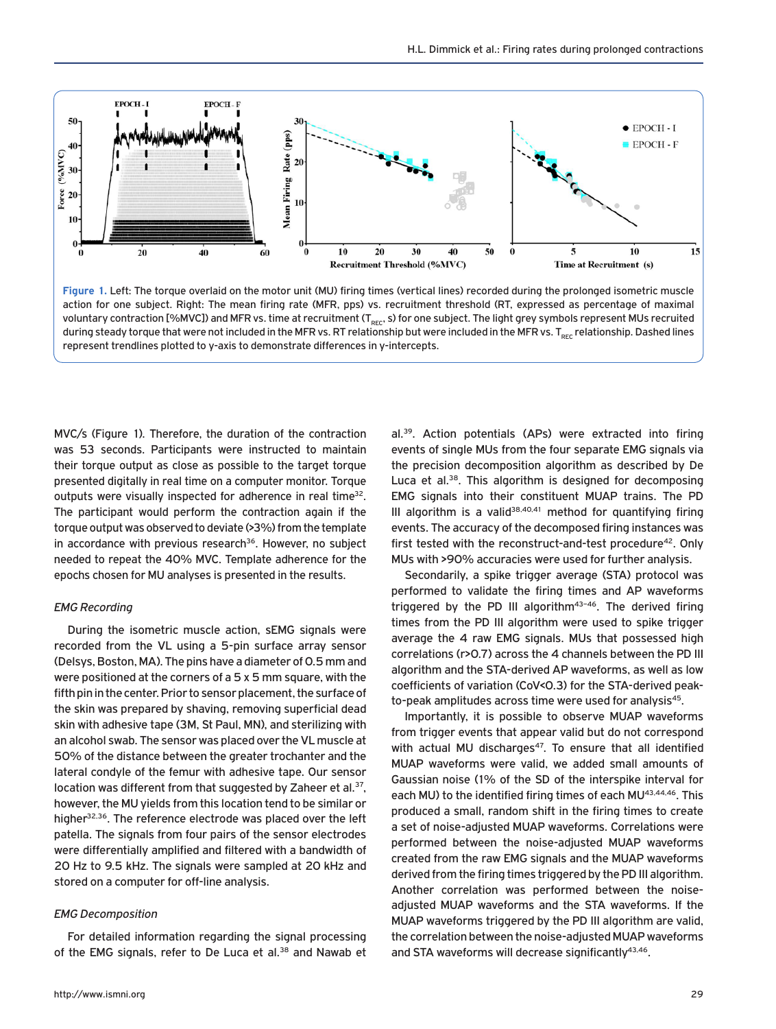

**Figure 1.** Left: The torque overlaid on the motor unit (MU) firing times (vertical lines) recorded during the prolonged isometric muscle action for one subject. Right: The mean firing rate (MFR, pps) vs. recruitment threshold (RT, expressed as percentage of maximal voluntary contraction [%MVC]) and MFR vs. time at recruitment (T<sub>REC</sub>, s) for one subject. The light grey symbols represent MUs recruited during steady torque that were not included in the MFR vs. RT relationship but were included in the MFR vs. T<sub>REC</sub> relationship. Dashed lines represent trendlines plotted to y-axis to demonstrate differences in y-intercepts.

MVC/s (Figure 1). Therefore, the duration of the contraction was 53 seconds. Participants were instructed to maintain their torque output as close as possible to the target torque presented digitally in real time on a computer monitor. Torque outputs were visually inspected for adherence in real time<sup>32</sup>. The participant would perform the contraction again if the torque output was observed to deviate (>3%) from the template in accordance with previous research<sup>36</sup>. However, no subject needed to repeat the 40% MVC. Template adherence for the epochs chosen for MU analyses is presented in the results.

## *EMG Recording*

During the isometric muscle action, sEMG signals were recorded from the VL using a 5-pin surface array sensor (Delsys, Boston, MA). The pins have a diameter of 0.5 mm and were positioned at the corners of a 5 x 5 mm square, with the fifth pin in the center. Prior to sensor placement, the surface of the skin was prepared by shaving, removing superficial dead skin with adhesive tape (3M, St Paul, MN), and sterilizing with an alcohol swab. The sensor was placed over the VL muscle at 50% of the distance between the greater trochanter and the lateral condyle of the femur with adhesive tape. Our sensor location was different from that suggested by Zaheer et al.<sup>37</sup>, however, the MU yields from this location tend to be similar or higher<sup>32,36</sup>. The reference electrode was placed over the left patella. The signals from four pairs of the sensor electrodes were differentially amplified and filtered with a bandwidth of 20 Hz to 9.5 kHz. The signals were sampled at 20 kHz and stored on a computer for off-line analysis.

#### *EMG Decomposition*

For detailed information regarding the signal processing of the EMG signals, refer to De Luca et al.<sup>38</sup> and Nawab et al.39. Action potentials (APs) were extracted into firing events of single MUs from the four separate EMG signals via the precision decomposition algorithm as described by De Luca et al.<sup>38</sup>. This algorithm is designed for decomposing EMG signals into their constituent MUAP trains. The PD III algorithm is a valid<sup>38,40,41</sup> method for quantifying firing events. The accuracy of the decomposed firing instances was first tested with the reconstruct-and-test procedure<sup>42</sup>. Only MUs with >90% accuracies were used for further analysis.

Secondarily, a spike trigger average (STA) protocol was performed to validate the firing times and AP waveforms triggered by the PD III algorithm $43-46$ . The derived firing times from the PD III algorithm were used to spike trigger average the 4 raw EMG signals. MUs that possessed high correlations (r>0.7) across the 4 channels between the PD III algorithm and the STA-derived AP waveforms, as well as low coefficients of variation (CoV<0.3) for the STA-derived peakto-peak amplitudes across time were used for analysis<sup>45</sup>.

Importantly, it is possible to observe MUAP waveforms from trigger events that appear valid but do not correspond with actual MU discharges $47$ . To ensure that all identified MUAP waveforms were valid, we added small amounts of Gaussian noise (1% of the SD of the interspike interval for each MU) to the identified firing times of each MU<sup>43,44,46</sup>. This produced a small, random shift in the firing times to create a set of noise-adjusted MUAP waveforms. Correlations were performed between the noise-adjusted MUAP waveforms created from the raw EMG signals and the MUAP waveforms derived from the firing times triggered by the PD III algorithm. Another correlation was performed between the noiseadjusted MUAP waveforms and the STA waveforms. If the MUAP waveforms triggered by the PD III algorithm are valid, the correlation between the noise-adjusted MUAP waveforms and STA waveforms will decrease significantly<sup>43,46</sup>.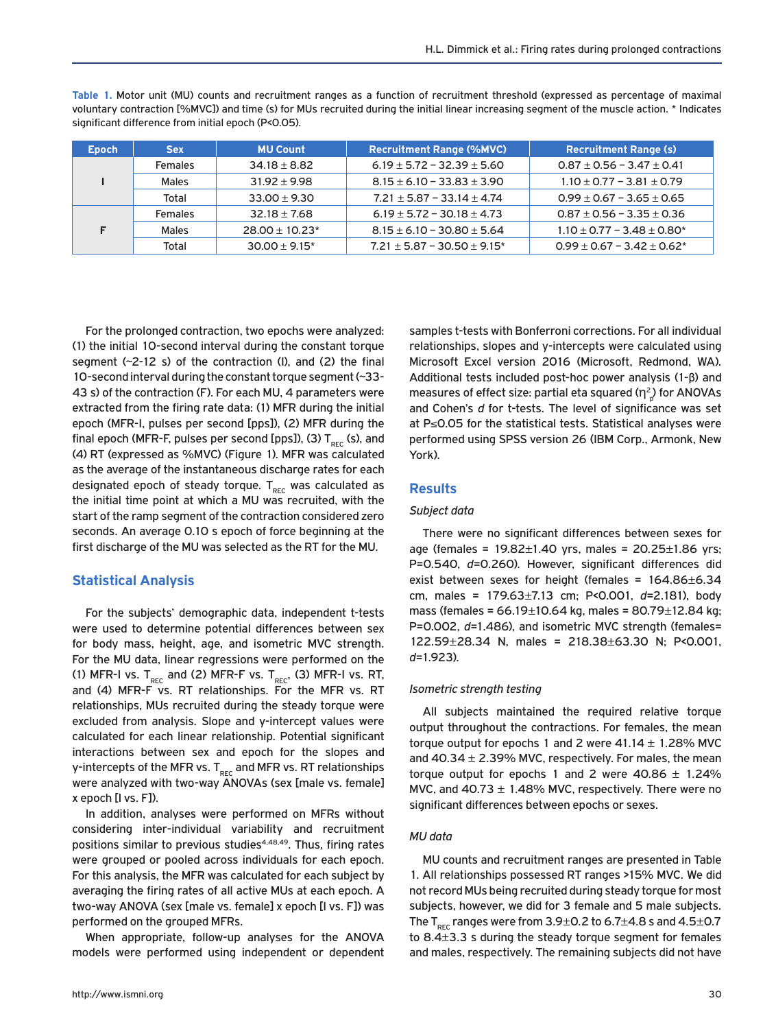**Table 1.** Motor unit (MU) counts and recruitment ranges as a function of recruitment threshold (expressed as percentage of maximal voluntary contraction [%MVC]) and time (s) for MUs recruited during the initial linear increasing segment of the muscle action. \* Indicates significant difference from initial epoch (P<0.05).

| <b>Epoch</b> | <b>Sex</b>     | <b>MU Count</b>     | <b>Recruitment Range (%MVC)</b>    | <b>Recruitment Range (s)</b>      |
|--------------|----------------|---------------------|------------------------------------|-----------------------------------|
|              | <b>Females</b> | $34.18 \pm 8.82$    | $6.19 \pm 5.72 - 32.39 \pm 5.60$   | $0.87 \pm 0.56 - 3.47 \pm 0.41$   |
|              | Males          | $31.92 \pm 9.98$    | $8.15 \pm 6.10 - 33.83 \pm 3.90$   | $1.10 \pm 0.77 - 3.81 \pm 0.79$   |
|              | Total          | $33.00 + 9.30$      | $7.21 \pm 5.87 - 33.14 \pm 4.74$   | $0.99 \pm 0.67 - 3.65 \pm 0.65$   |
|              | <b>Females</b> | $32.18 \pm 7.68$    | $6.19 \pm 5.72 - 30.18 \pm 4.73$   | $0.87 \pm 0.56 - 3.35 \pm 0.36$   |
|              | <b>Males</b>   | $28.00 \pm 10.23^*$ | $8.15 \pm 6.10 - 30.80 \pm 5.64$   | $1.10 \pm 0.77 - 3.48 \pm 0.80^*$ |
|              | Total          | $30.00 + 9.15*$     | $7.21 \pm 5.87 - 30.50 \pm 9.15^*$ | $0.99 \pm 0.67 - 3.42 \pm 0.62^*$ |

For the prolonged contraction, two epochs were analyzed: (1) the initial 10-second interval during the constant torque segment (~2-12 s) of the contraction (I), and (2) the final 10-second interval during the constant torque segment (~33- 43 s) of the contraction (F). For each MU, 4 parameters were extracted from the firing rate data: (1) MFR during the initial epoch (MFR-I, pulses per second [pps]), (2) MFR during the final epoch (MFR-F, pulses per second [pps]), (3)  $T_{rec}$  (s), and (4) RT (expressed as %MVC) (Figure 1). MFR was calculated as the average of the instantaneous discharge rates for each designated epoch of steady torque.  $T_{rec}$  was calculated as the initial time point at which a MU was recruited, with the start of the ramp segment of the contraction considered zero seconds. An average 0.10 s epoch of force beginning at the first discharge of the MU was selected as the RT for the MU.

# **Statistical Analysis**

For the subjects' demographic data, independent t-tests were used to determine potential differences between sex for body mass, height, age, and isometric MVC strength. For the MU data, linear regressions were performed on the (1) MFR-I vs.  $T_{\text{rec}}$  and (2) MFR-F vs.  $T_{\text{rec}}$ , (3) MFR-I vs. RT, and (4) MFR-F vs. RT relationships. For the MFR vs. RT relationships, MUs recruited during the steady torque were excluded from analysis. Slope and y-intercept values were calculated for each linear relationship. Potential significant interactions between sex and epoch for the slopes and y-intercepts of the MFR vs.  $T_{\text{rec}}$  and MFR vs. RT relationships were analyzed with two-way ANOVAs (sex [male vs. female] x epoch [I vs. F]).

In addition, analyses were performed on MFRs without considering inter-individual variability and recruitment positions similar to previous studies<sup>4,48,49</sup>. Thus, firing rates were grouped or pooled across individuals for each epoch. For this analysis, the MFR was calculated for each subject by averaging the firing rates of all active MUs at each epoch. A two-way ANOVA (sex [male vs. female] x epoch [I vs. F]) was performed on the grouped MFRs.

When appropriate, follow-up analyses for the ANOVA models were performed using independent or dependent samples t-tests with Bonferroni corrections. For all individual relationships, slopes and y-intercepts were calculated using Microsoft Excel version 2016 (Microsoft, Redmond, WA). Additional tests included post-hoc power analysis (1-β) and measures of effect size: partial eta squared ( $\eta^2_{\;\rho}$ ) for ANOVAs and Cohen's *d* for t-tests. The level of significance was set at P≤0.05 for the statistical tests. Statistical analyses were performed using SPSS version 26 (IBM Corp., Armonk, New York).

# **Results**

## *Subject data*

There were no significant differences between sexes for age (females =  $19.82 \pm 1.40$  yrs, males =  $20.25 \pm 1.86$  yrs; P=0.540, *d*=0.260). However, significant differences did exist between sexes for height (females = 164.86±6.34 cm, males = 179.63±7.13 cm; P<0.001, *d*=2.181), body mass (females = 66.19±10.64 kg, males = 80.79±12.84 kg; P=0.002, *d*=1.486), and isometric MVC strength (females= 122.59±28.34 N, males = 218.38±63.30 N; P<0.001, *d*=1.923).

## *Isometric strength testing*

All subjects maintained the required relative torque output throughout the contractions. For females, the mean torque output for epochs 1 and 2 were  $41.14 \pm 1.28\%$  MVC and  $40.34 \pm 2.39\%$  MVC, respectively. For males, the mean torque output for epochs 1 and 2 were  $40.86 \pm 1.24\%$ MVC, and  $40.73 \pm 1.48\%$  MVC, respectively. There were no significant differences between epochs or sexes.

## *MU data*

MU counts and recruitment ranges are presented in Table 1. All relationships possessed RT ranges >15% MVC. We did not record MUs being recruited during steady torque for most subjects, however, we did for 3 female and 5 male subjects. The  $T_{\text{pre}}$  ranges were from 3.9 $\pm$ 0.2 to 6.7 $\pm$ 4.8 s and 4.5 $\pm$ 0.7 to 8.4±3.3 s during the steady torque segment for females and males, respectively. The remaining subjects did not have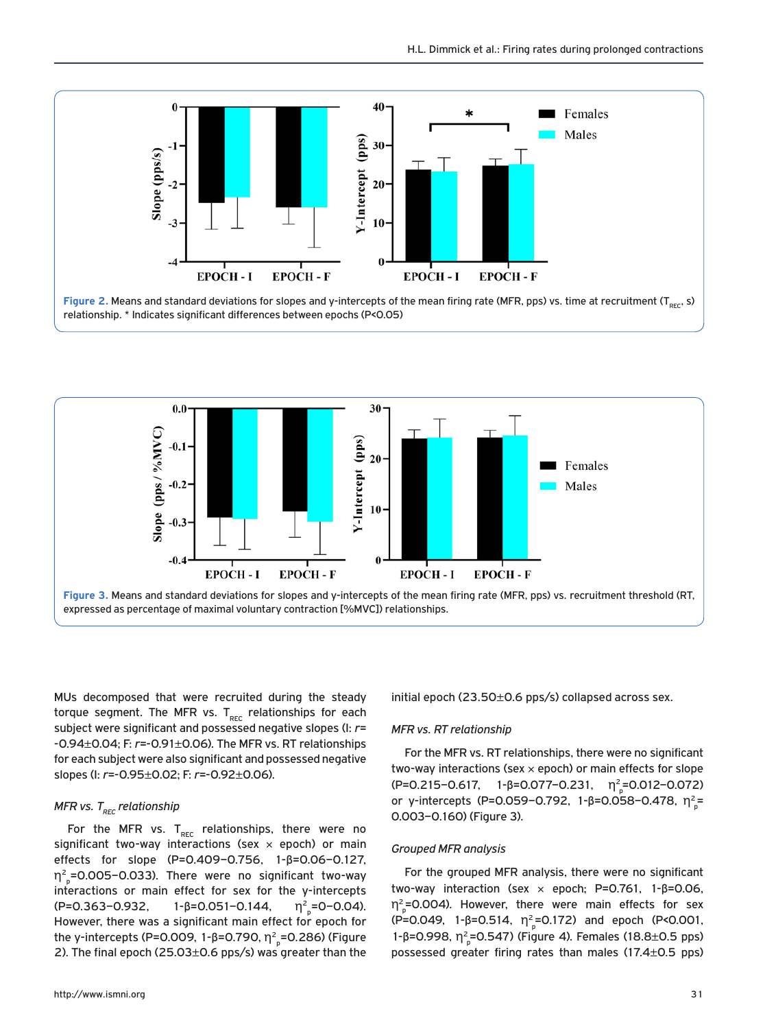

**Figure 2. Means and standard deviations for slopes and y-intercepts of the mean firing rate (MFR, pps) vs. time at recruitment (T<sub>prc</sub>, s)** relationship. \* Indicates significant differences between epochs (P<0.05)



MUs decomposed that were recruited during the steady torque segment. The MFR vs.  $T_{rec}$  relationships for each subject were significant and possessed negative slopes (I: *r*= -0.94±0.04; F: *r*=-0.91±0.06). The MFR vs. RT relationships for each subject were also significant and possessed negative slopes (I: *r*=-0.95±0.02; F: *r*=-0.92±0.06).

## *MFR vs.* T<sub>REC</sub> relationship

For the MFR vs.  $T_{rec}$  relationships, there were no significant two-way interactions (sex  $\times$  epoch) or main effects for slope (P=0.409–0.756, 1-β=0.06–0.127,  $\eta_{\rm p}^2$ =0.005–0.033). There were no significant two-way interactions or main effect for sex for the y-intercepts  $(P=0.363-0.932, 1-\beta=0.051-0.144,$  $_p = 0 - 0.04$ ). However, there was a significant main effect for epoch for the y-intercepts (P=0.009, 1-β=0.790, η<sup>2</sup><sub>,</sub>=0.286) (Figure 2). The final epoch (25.03±0.6 pps/s) was greater than the

initial epoch (23.50±0.6 pps/s) collapsed across sex.

## *MFR vs. RT relationship*

For the MFR vs. RT relationships, there were no significant two-way interactions (sex  $\times$  epoch) or main effects for slope  $(P=0.215-0.617, 1-\beta=0.077-0.231, \eta^2=0.012-0.072)$ or y-intercepts (P=0.059-0.792, 1-β=0.058-0.478,  $η<sup>2</sup><sub>p</sub>$ = 0.003–0.160) (Figure 3).

## *Grouped MFR analysis*

For the grouped MFR analysis, there were no significant two-way interaction (sex × epoch; P=0.761, 1-β=0.06,  $\eta_{\rm p}^2$ =0.004). However, there were main effects for sex (P=0.049, 1-β=0.514,  $\eta^2 P = 0.172$ ) and epoch (P<0.001, 1-β=0.998,  $η<sup>2</sup><sub>p</sub>$ =0.547) (Figure 4). Females (18.8±0.5 pps) possessed greater firing rates than males (17.4±0.5 pps)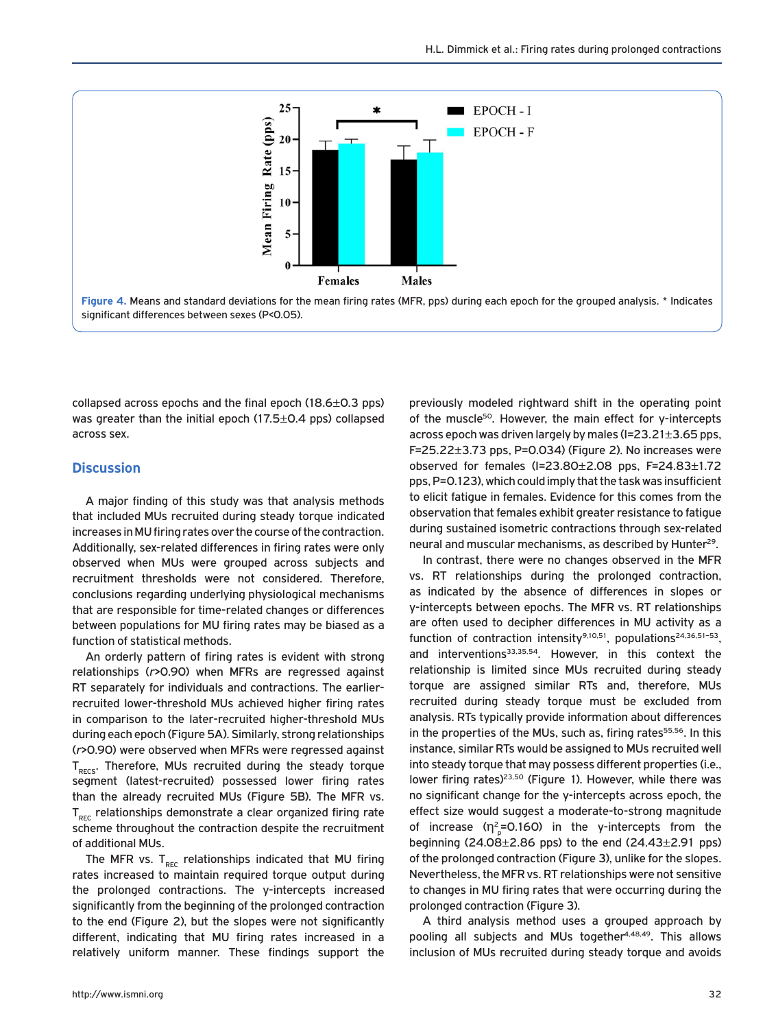

collapsed across epochs and the final epoch  $(18.6\pm0.3 \text{ pps})$ was greater than the initial epoch (17.5±0.4 pps) collapsed across sex.

## **Discussion**

A major finding of this study was that analysis methods that included MUs recruited during steady torque indicated increases in MU firing rates over the course of the contraction. Additionally, sex-related differences in firing rates were only observed when MUs were grouped across subjects and recruitment thresholds were not considered. Therefore, conclusions regarding underlying physiological mechanisms that are responsible for time-related changes or differences between populations for MU firing rates may be biased as a function of statistical methods.

An orderly pattern of firing rates is evident with strong relationships (*r*>0.90) when MFRs are regressed against RT separately for individuals and contractions. The earlierrecruited lower-threshold MUs achieved higher firing rates in comparison to the later-recruited higher-threshold MUs during each epoch (Figure 5A). Similarly, strong relationships (*r*>0.90) were observed when MFRs were regressed against  $T<sub>RFC</sub>$ . Therefore, MUs recruited during the steady torque segment (latest-recruited) possessed lower firing rates than the already recruited MUs (Figure 5B). The MFR vs.  $T<sub>rec</sub>$  relationships demonstrate a clear organized firing rate scheme throughout the contraction despite the recruitment of additional MUs.

The MFR vs.  $T_{rec}$  relationships indicated that MU firing rates increased to maintain required torque output during the prolonged contractions. The y-intercepts increased significantly from the beginning of the prolonged contraction to the end (Figure 2), but the slopes were not significantly different, indicating that MU firing rates increased in a relatively uniform manner. These findings support the previously modeled rightward shift in the operating point of the muscle<sup>50</sup>. However, the main effect for y-intercepts across epoch was driven largely by males (I=23.21±3.65 pps, F=25.22±3.73 pps, P=0.034) (Figure 2). No increases were observed for females (I=23.80±2.08 pps, F=24.83±1.72 pps, P=0.123), which could imply that the task was insufficient to elicit fatigue in females. Evidence for this comes from the observation that females exhibit greater resistance to fatigue during sustained isometric contractions through sex-related neural and muscular mechanisms, as described by Hunter<sup>29</sup>.

In contrast, there were no changes observed in the MFR vs. RT relationships during the prolonged contraction, as indicated by the absence of differences in slopes or y-intercepts between epochs. The MFR vs. RT relationships are often used to decipher differences in MU activity as a function of contraction intensity<sup>9,10,51</sup>, populations<sup>24,36,51-53</sup>, and interventions<sup>33,35,54</sup>. However, in this context the relationship is limited since MUs recruited during steady torque are assigned similar RTs and, therefore, MUs recruited during steady torque must be excluded from analysis. RTs typically provide information about differences in the properties of the MUs, such as, firing rates<sup>55,56</sup>. In this instance, similar RTs would be assigned to MUs recruited well into steady torque that may possess different properties (i.e., lower firing rates)<sup>23,50</sup> (Figure 1). However, while there was no significant change for the y-intercepts across epoch, the effect size would suggest a moderate-to-strong magnitude of increase ( $\eta^2_{\text{p}}$ =0.160) in the y-intercepts from the beginning  $(24.08 \pm 2.86 \text{ pps})$  to the end  $(24.43 \pm 2.91 \text{ pps})$ of the prolonged contraction (Figure 3), unlike for the slopes. Nevertheless, the MFR vs. RT relationships were not sensitive to changes in MU firing rates that were occurring during the prolonged contraction (Figure 3).

A third analysis method uses a grouped approach by pooling all subjects and MUs together<sup>4,48,49</sup>. This allows inclusion of MUs recruited during steady torque and avoids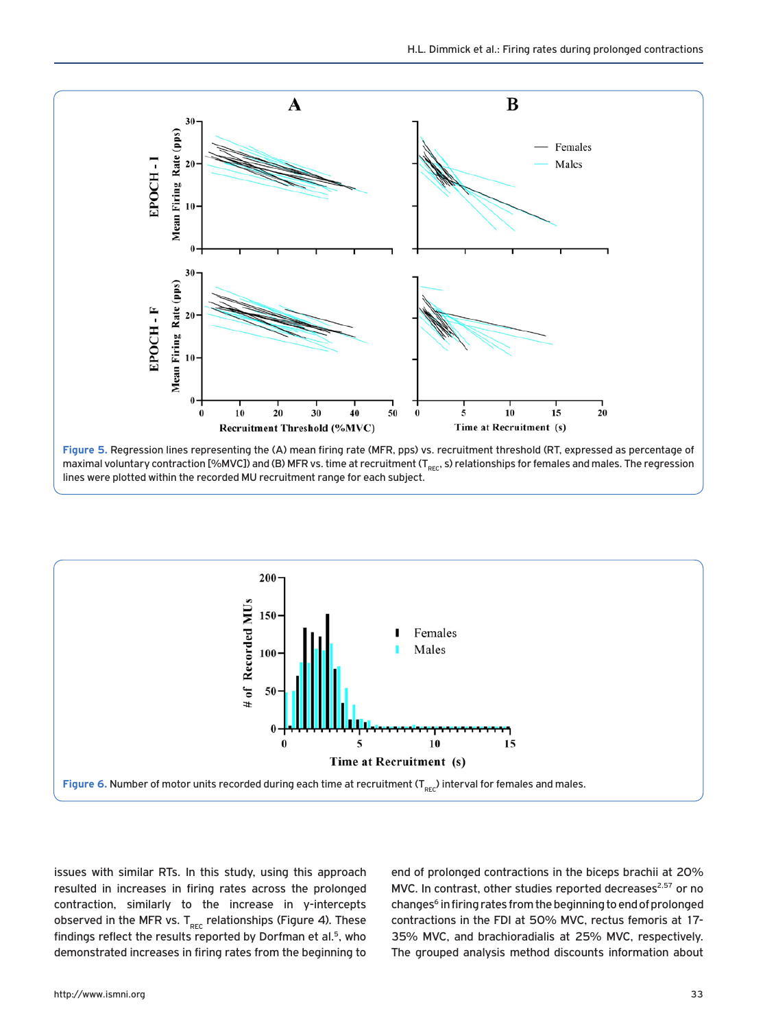

**Figure 5.** Regression lines representing the (A) mean firing rate (MFR, pps) vs. recruitment threshold (RT, expressed as percentage of maximal voluntary contraction [%MVC]) and (B) MFR vs. time at recruitment (T<sub>REC</sub>, s) relationships for females and males. The regression lines were plotted within the recorded MU recruitment range for each subject.



issues with similar RTs. In this study, using this approach resulted in increases in firing rates across the prolonged contraction, similarly to the increase in y-intercepts observed in the MFR vs.  $T_{rec}$  relationships (Figure 4). These findings reflect the results reported by Dorfman et al.<sup>5</sup>, who demonstrated increases in firing rates from the beginning to end of prolonged contractions in the biceps brachii at 20% MVC. In contrast, other studies reported decreases<sup>2,57</sup> or no changes<sup>6</sup> in firing rates from the beginning to end of prolonged contractions in the FDI at 50% MVC, rectus femoris at 17- 35% MVC, and brachioradialis at 25% MVC, respectively. The grouped analysis method discounts information about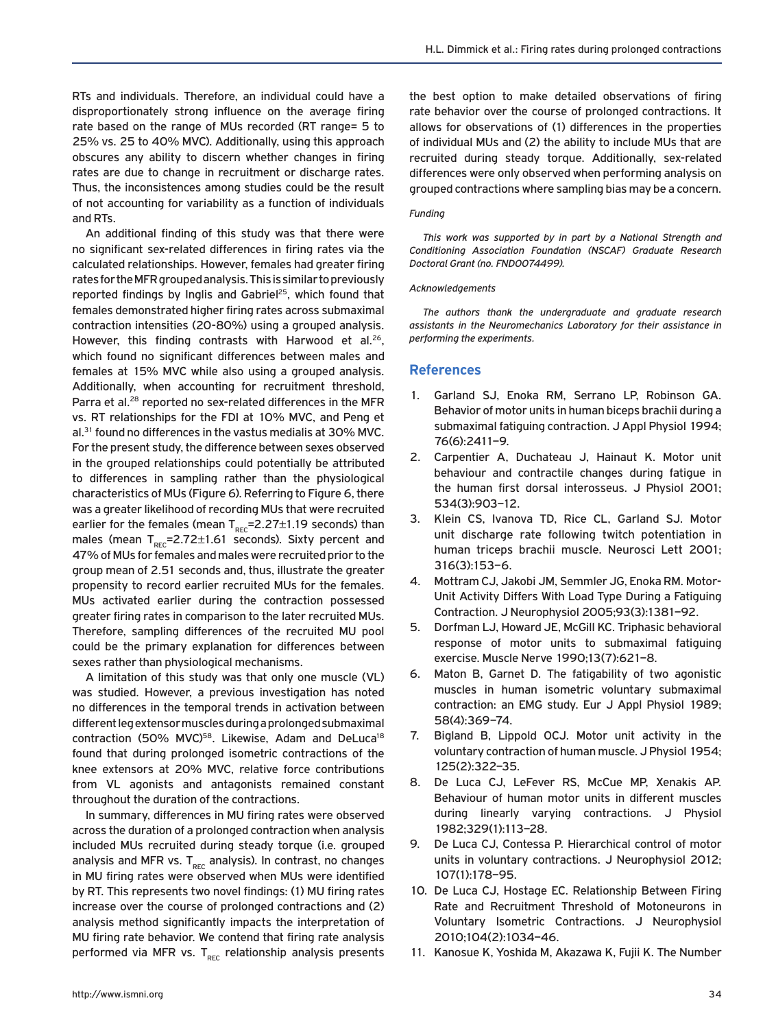RTs and individuals. Therefore, an individual could have a disproportionately strong influence on the average firing rate based on the range of MUs recorded (RT range= 5 to 25% vs. 25 to 40% MVC). Additionally, using this approach obscures any ability to discern whether changes in firing rates are due to change in recruitment or discharge rates. Thus, the inconsistences among studies could be the result of not accounting for variability as a function of individuals and RTs.

An additional finding of this study was that there were no significant sex-related differences in firing rates via the calculated relationships. However, females had greater firing rates for the MFR grouped analysis. This is similar to previously reported findings by Inglis and Gabriel<sup>25</sup>, which found that females demonstrated higher firing rates across submaximal contraction intensities (20-80%) using a grouped analysis. However, this finding contrasts with Harwood et al.<sup>26</sup>, which found no significant differences between males and females at 15% MVC while also using a grouped analysis. Additionally, when accounting for recruitment threshold, Parra et al.<sup>28</sup> reported no sex-related differences in the MFR vs. RT relationships for the FDI at 10% MVC, and Peng et al.<sup>31</sup> found no differences in the vastus medialis at 30% MVC. For the present study, the difference between sexes observed in the grouped relationships could potentially be attributed to differences in sampling rather than the physiological characteristics of MUs (Figure 6). Referring to Figure 6, there was a greater likelihood of recording MUs that were recruited earlier for the females (mean  $T_{rec}$ =2.27 $\pm$ 1.19 seconds) than males (mean  $T_{rec}$ =2.72 $\pm$ 1.61 seconds). Sixty percent and 47% of MUs for females and males were recruited prior to the group mean of 2.51 seconds and, thus, illustrate the greater propensity to record earlier recruited MUs for the females. MUs activated earlier during the contraction possessed greater firing rates in comparison to the later recruited MUs. Therefore, sampling differences of the recruited MU pool could be the primary explanation for differences between sexes rather than physiological mechanisms.

A limitation of this study was that only one muscle (VL) was studied. However, a previous investigation has noted no differences in the temporal trends in activation between different leg extensor muscles during a prolonged submaximal contraction (50% MVC)<sup>58</sup>. Likewise, Adam and DeLuca<sup>18</sup> found that during prolonged isometric contractions of the knee extensors at 20% MVC, relative force contributions from VL agonists and antagonists remained constant throughout the duration of the contractions.

In summary, differences in MU firing rates were observed across the duration of a prolonged contraction when analysis included MUs recruited during steady torque (i.e. grouped analysis and MFR vs.  $T_{rec}$  analysis). In contrast, no changes in MU firing rates were observed when MUs were identified by RT. This represents two novel findings: (1) MU firing rates increase over the course of prolonged contractions and (2) analysis method significantly impacts the interpretation of MU firing rate behavior. We contend that firing rate analysis performed via MFR vs. T<sub>REC</sub> relationship analysis presents the best option to make detailed observations of firing rate behavior over the course of prolonged contractions. It allows for observations of (1) differences in the properties of individual MUs and (2) the ability to include MUs that are recruited during steady torque. Additionally, sex-related differences were only observed when performing analysis on grouped contractions where sampling bias may be a concern.

#### *Funding*

*This work was supported by in part by a National Strength and Conditioning Association Foundation (NSCAF) Graduate Research Doctoral Grant (no. FND0074499).* 

#### *Acknowledgements*

*The authors thank the undergraduate and graduate research assistants in the Neuromechanics Laboratory for their assistance in performing the experiments.* 

### **References**

- 1. Garland SJ, Enoka RM, Serrano LP, Robinson GA. Behavior of motor units in human biceps brachii during a submaximal fatiguing contraction. J Appl Physiol 1994; 76(6):2411–9.
- 2. Carpentier A, Duchateau J, Hainaut K. Motor unit behaviour and contractile changes during fatigue in the human first dorsal interosseus. J Physiol 2001; 534(3):903–12.
- 3. Klein CS, Ivanova TD, Rice CL, Garland SJ. Motor unit discharge rate following twitch potentiation in human triceps brachii muscle. Neurosci Lett 2001; 316(3):153–6.
- 4. Mottram CJ, Jakobi JM, Semmler JG, Enoka RM. Motor-Unit Activity Differs With Load Type During a Fatiguing Contraction. J Neurophysiol 2005;93(3):1381–92.
- 5. Dorfman LJ, Howard JE, McGill KC. Triphasic behavioral response of motor units to submaximal fatiguing exercise. Muscle Nerve 1990;13(7):621–8.
- 6. Maton B, Garnet D. The fatigability of two agonistic muscles in human isometric voluntary submaximal contraction: an EMG study. Eur J Appl Physiol 1989; 58(4):369–74.
- 7. Bigland B, Lippold OCJ. Motor unit activity in the voluntary contraction of human muscle. J Physiol 1954; 125(2):322–35.
- 8. De Luca CJ, LeFever RS, McCue MP, Xenakis AP. Behaviour of human motor units in different muscles during linearly varying contractions. J Physiol 1982;329(1):113–28.
- 9. De Luca CJ, Contessa P. Hierarchical control of motor units in voluntary contractions. J Neurophysiol 2012; 107(1):178–95.
- 10. De Luca CJ, Hostage EC. Relationship Between Firing Rate and Recruitment Threshold of Motoneurons in Voluntary Isometric Contractions. J Neurophysiol 2010;104(2):1034–46.
- 11. Kanosue K, Yoshida M, Akazawa K, Fujii K. The Number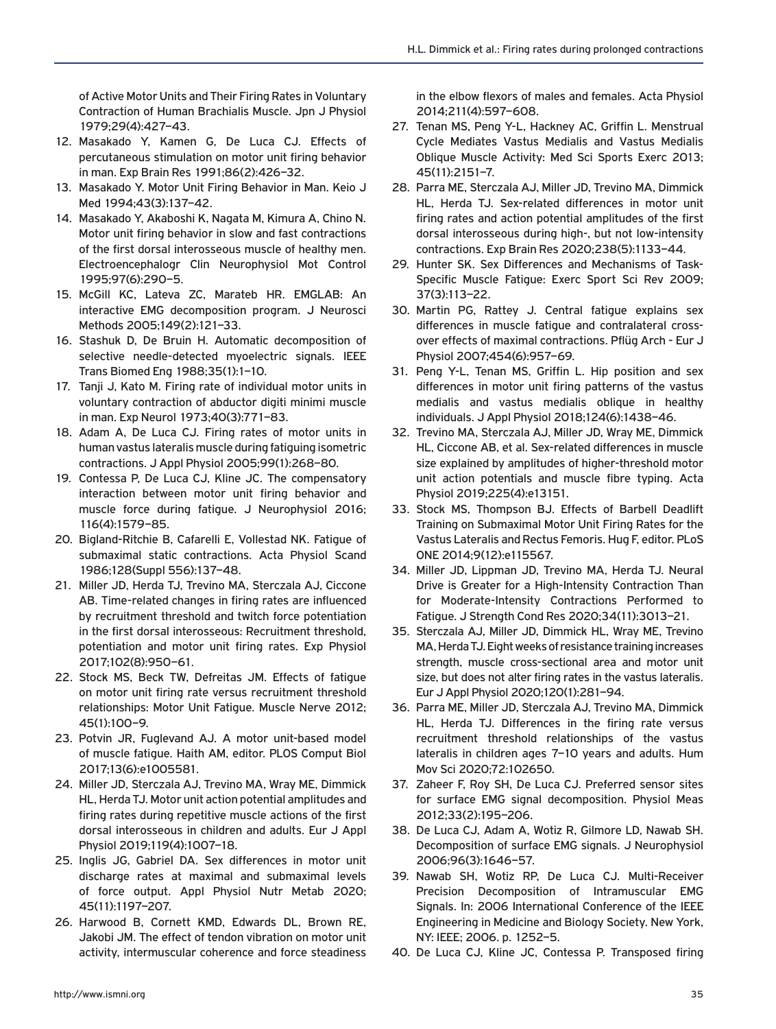of Active Motor Units and Their Firing Rates in Voluntary Contraction of Human Brachialis Muscle. Jpn J Physiol 1979;29(4):427–43.

- 12. Masakado Y, Kamen G, De Luca CJ. Effects of percutaneous stimulation on motor unit firing behavior in man. Exp Brain Res 1991;86(2):426–32.
- 13. Masakado Y. Motor Unit Firing Behavior in Man. Keio J Med 1994;43(3):137–42.
- 14. Masakado Y, Akaboshi K, Nagata M, Kimura A, Chino N. Motor unit firing behavior in slow and fast contractions of the first dorsal interosseous muscle of healthy men. Electroencephalogr Clin Neurophysiol Mot Control 1995;97(6):290–5.
- 15. McGill KC, Lateva ZC, Marateb HR. EMGLAB: An interactive EMG decomposition program. J Neurosci Methods 2005;149(2):121–33.
- 16. Stashuk D, De Bruin H. Automatic decomposition of selective needle-detected myoelectric signals. IEEE Trans Biomed Eng 1988;35(1):1–10.
- 17. Tanii J, Kato M. Firing rate of individual motor units in voluntary contraction of abductor digiti minimi muscle in man. Exp Neurol 1973;40(3):771–83.
- 18. Adam A, De Luca CJ. Firing rates of motor units in human vastus lateralis muscle during fatiguing isometric contractions. J Appl Physiol 2005;99(1):268–80.
- 19. Contessa P, De Luca CJ, Kline JC. The compensatory interaction between motor unit firing behavior and muscle force during fatigue. J Neurophysiol 2016; 116(4):1579–85.
- 20. Bigland-Ritchie B, Cafarelli E, Vollestad NK. Fatigue of submaximal static contractions. Acta Physiol Scand 1986;128(Suppl 556):137–48.
- 21. Miller JD, Herda TJ, Trevino MA, Sterczala AJ, Ciccone AB. Time-related changes in firing rates are influenced by recruitment threshold and twitch force potentiation in the first dorsal interosseous: Recruitment threshold, potentiation and motor unit firing rates. Exp Physiol 2017;102(8):950–61.
- 22. Stock MS, Beck TW, Defreitas JM. Effects of fatigue on motor unit firing rate versus recruitment threshold relationships: Motor Unit Fatigue. Muscle Nerve 2012; 45(1):100–9.
- 23. Potvin JR, Fuglevand AJ. A motor unit-based model of muscle fatigue. Haith AM, editor. PLOS Comput Biol 2017;13(6):e1005581.
- 24. Miller JD, Sterczala AJ, Trevino MA, Wray ME, Dimmick HL, Herda TJ. Motor unit action potential amplitudes and firing rates during repetitive muscle actions of the first dorsal interosseous in children and adults. Eur J Appl Physiol 2019;119(4):1007–18.
- 25. Inglis JG, Gabriel DA. Sex differences in motor unit discharge rates at maximal and submaximal levels of force output. Appl Physiol Nutr Metab 2020; 45(11):1197–207.
- 26. Harwood B, Cornett KMD, Edwards DL, Brown RE, Jakobi JM. The effect of tendon vibration on motor unit activity, intermuscular coherence and force steadiness

in the elbow flexors of males and females. Acta Physiol 2014;211(4):597–608.

- 27. Tenan MS, Peng Y-L, Hackney AC, Griffin L. Menstrual Cycle Mediates Vastus Medialis and Vastus Medialis Oblique Muscle Activity: Med Sci Sports Exerc 2013; 45(11):2151–7.
- 28. Parra ME, Sterczala AJ, Miller JD, Trevino MA, Dimmick HL, Herda TJ. Sex-related differences in motor unit firing rates and action potential amplitudes of the first dorsal interosseous during high-, but not low-intensity contractions. Exp Brain Res 2020;238(5):1133–44.
- 29. Hunter SK. Sex Differences and Mechanisms of Task-Specific Muscle Fatigue: Exerc Sport Sci Rev 2009; 37(3):113–22.
- 30. Martin PG, Rattey J. Central fatigue explains sex differences in muscle fatigue and contralateral crossover effects of maximal contractions. Pflüg Arch - Eur J Physiol 2007;454(6):957–69.
- 31. Peng Y-L, Tenan MS, Griffin L. Hip position and sex differences in motor unit firing patterns of the vastus medialis and vastus medialis oblique in healthy individuals. J Appl Physiol 2018;124(6):1438–46.
- 32. Trevino MA, Sterczala AJ, Miller JD, Wray ME, Dimmick HL, Ciccone AB, et al. Sex-related differences in muscle size explained by amplitudes of higher-threshold motor unit action potentials and muscle fibre typing. Acta Physiol 2019;225(4):e13151.
- 33. Stock MS, Thompson BJ. Effects of Barbell Deadlift Training on Submaximal Motor Unit Firing Rates for the Vastus Lateralis and Rectus Femoris. Hug F, editor. PLoS ONE 2014;9(12):e115567.
- 34. Miller JD, Lippman JD, Trevino MA, Herda TJ. Neural Drive is Greater for a High-Intensity Contraction Than for Moderate-Intensity Contractions Performed to Fatigue. J Strength Cond Res 2020;34(11):3013–21.
- 35. Sterczala AJ, Miller JD, Dimmick HL, Wray ME, Trevino MA, Herda TJ. Eight weeks of resistance training increases strength, muscle cross-sectional area and motor unit size, but does not alter firing rates in the vastus lateralis. Eur J Appl Physiol 2020;120(1):281–94.
- 36. Parra ME, Miller JD, Sterczala AJ, Trevino MA, Dimmick HL, Herda TJ. Differences in the firing rate versus recruitment threshold relationships of the vastus lateralis in children ages 7–10 years and adults. Hum Mov Sci 2020;72:102650.
- 37. Zaheer F, Roy SH, De Luca CJ. Preferred sensor sites for surface EMG signal decomposition. Physiol Meas 2012;33(2):195–206.
- 38. De Luca CJ, Adam A, Wotiz R, Gilmore LD, Nawab SH. Decomposition of surface EMG signals. J Neurophysiol 2006;96(3):1646–57.
- 39. Nawab SH, Wotiz RP, De Luca CJ. Multi-Receiver Precision Decomposition of Intramuscular EMG Signals. In: 2006 International Conference of the IEEE Engineering in Medicine and Biology Society. New York, NY: IEEE; 2006. p. 1252–5.
- 40. De Luca CJ, Kline JC, Contessa P. Transposed firing